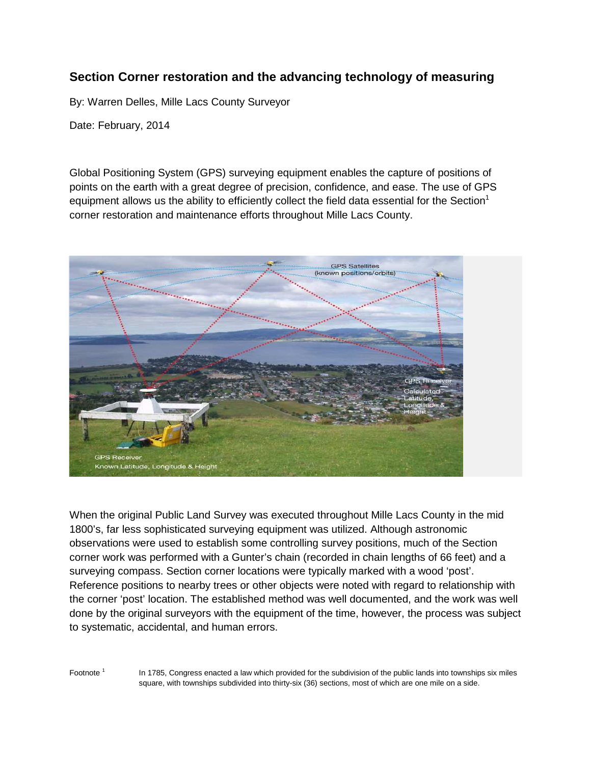## **Section Corner restoration and the advancing technology of measuring**

By: Warren Delles, Mille Lacs County Surveyor

Date: February, 2014

Global Positioning System (GPS) surveying equipment enables the capture of positions of points on the earth with a great degree of precision, confidence, and ease. The use of GPS equipment allows us the ability to efficiently collect the field data essential for the Section<sup>1</sup> corner restoration and maintenance efforts throughout Mille Lacs County.



When the original Public Land Survey was executed throughout Mille Lacs County in the mid 1800's, far less sophisticated surveying equipment was utilized. Although astronomic observations were used to establish some controlling survey positions, much of the Section corner work was performed with a Gunter's chain (recorded in chain lengths of 66 feet) and a surveying compass. Section corner locations were typically marked with a wood 'post'. Reference positions to nearby trees or other objects were noted with regard to relationship with the corner 'post' location. The established method was well documented, and the work was well done by the original surveyors with the equipment of the time, however, the process was subject to systematic, accidental, and human errors.

Footnote<sup>1</sup>

 In 1785, Congress enacted a law which provided for the subdivision of the public lands into townships six miles square, with townships subdivided into thirty-six (36) sections, most of which are one mile on a side.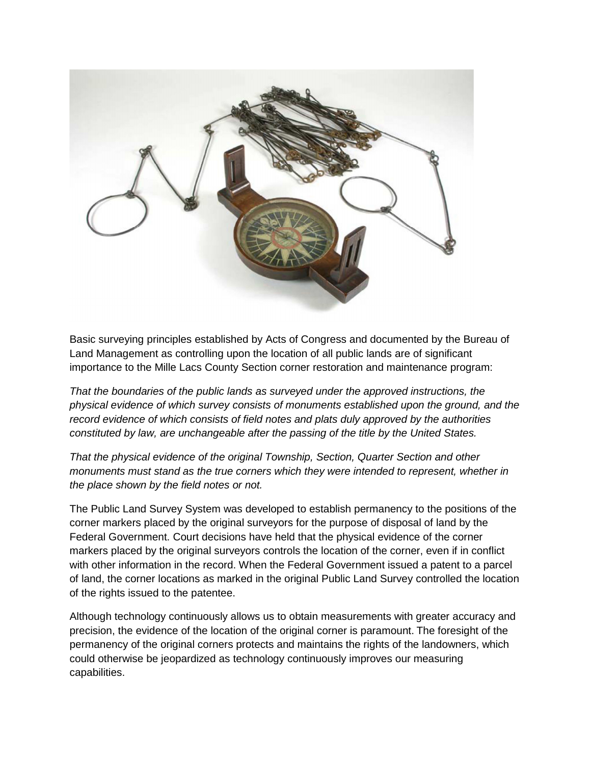

Basic surveying principles established by Acts of Congress and documented by the Bureau of Land Management as controlling upon the location of all public lands are of significant importance to the Mille Lacs County Section corner restoration and maintenance program:

That the boundaries of the public lands as surveyed under the approved instructions, the physical evidence of which survey consists of monuments established upon the ground, and the record evidence of which consists of field notes and plats duly approved by the authorities constituted by law, are unchangeable after the passing of the title by the United States.

That the physical evidence of the original Township, Section, Quarter Section and other monuments must stand as the true corners which they were intended to represent, whether in the place shown by the field notes or not.

The Public Land Survey System was developed to establish permanency to the positions of the corner markers placed by the original surveyors for the purpose of disposal of land by the Federal Government. Court decisions have held that the physical evidence of the corner markers placed by the original surveyors controls the location of the corner, even if in conflict with other information in the record. When the Federal Government issued a patent to a parcel of land, the corner locations as marked in the original Public Land Survey controlled the location of the rights issued to the patentee.

Although technology continuously allows us to obtain measurements with greater accuracy and precision, the evidence of the location of the original corner is paramount. The foresight of the permanency of the original corners protects and maintains the rights of the landowners, which could otherwise be jeopardized as technology continuously improves our measuring capabilities.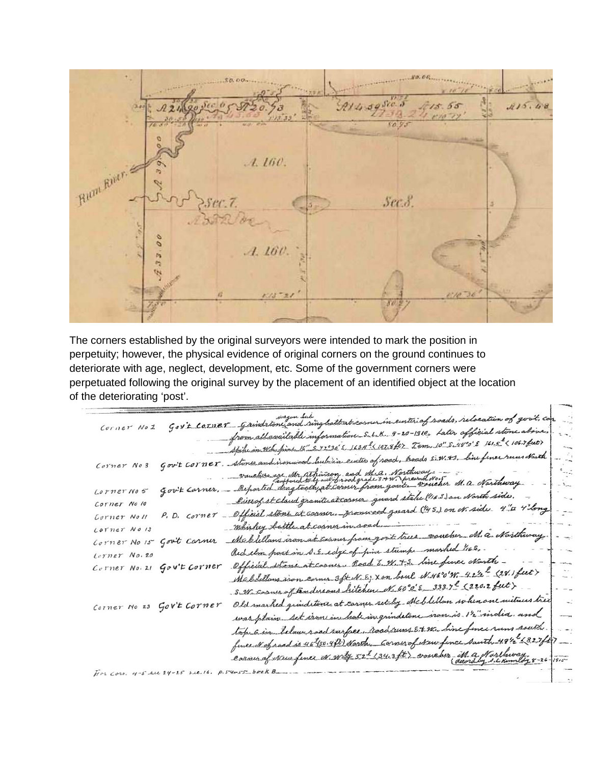$115.4$  $80.95$ Bunt River.  $A.160.$  $Sec.8$ ø  $A.160.$ ľa ٢N

The corners established by the original surveyors were intended to mark the position in perpetuity; however, the physical evidence of original corners on the ground continues to deteriorate with age, neglect, development, etc. Some of the government corners were perpetuated following the original survey by the placement of an identified object at the location of the deteriorating 'post'.

centerial roads, relocation of go  $Corner Mod$ Gav't corner 9-20-1910, Later official stone Uavailable information S. L.K. S. 72°30'E 1624" (1878 ft) Tam. 10" S. 48°0'E 161.5" < 106.7 fut) ad laubian center of road, hoads E.W. +3. line fince runs North Gov't corner. Corner No 3 are Mr. athinson and M.a. Northway. voucher M. a. Northway. agtooth at coiner from go Gov't Carner, Lorner No 5 Ries of st claud granite at cassive guard stake ("163) on North side. Corner No 10 at carnery promined genard (145) on N. side 4"a 4"long P. D. Corner \_ Official. Corner Noll mhishy Corner No 13 vaucher M. a. Narthway. from govit trees Corner No 15 Gov't Carner Mebilla rarhed 116.5. part in S.E. edge of pine Redelin Corner No. 20 at corner Road E. W. + 3. line fine charth -Corner No. 21 Gov't Corner Official Mabildons iron corner status home will N.460W. 422 2211 feet> no scon conner opening the 60°c = 333.7° (220.2 feet)  $S_{2N}$ Old marked grindstone at carner set by Mcblellan when one witnes tree Corner No 23 Gov't Corner iron is 12" india. and Set iron in hale in grindstone. top 6 in below road surface, road runs Et W. line fince runs s funcial of road is 40 (30.4 ft) North, Cornerof New fince south 491/2 2327 ft consumer were ex. with 522 1343 ft. wowebur M. a. Northway  $1915 H$ or Cors. 4-5 su 24-25 sue. 16. p.54=55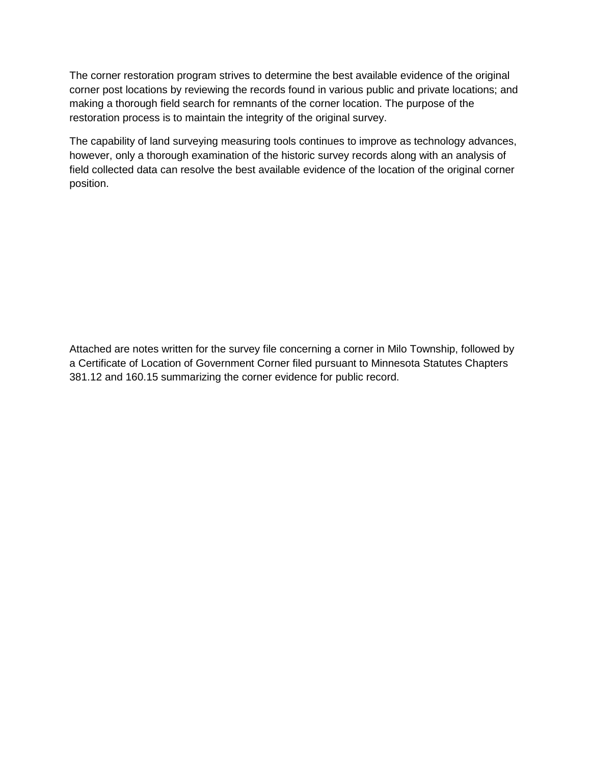The corner restoration program strives to determine the best available evidence of the original corner post locations by reviewing the records found in various public and private locations; and making a thorough field search for remnants of the corner location. The purpose of the restoration process is to maintain the integrity of the original survey.

The capability of land surveying measuring tools continues to improve as technology advances, however, only a thorough examination of the historic survey records along with an analysis of field collected data can resolve the best available evidence of the location of the original corner position.

Attached are notes written for the survey file concerning a corner in Milo Township, followed by a Certificate of Location of Government Corner filed pursuant to Minnesota Statutes Chapters 381.12 and 160.15 summarizing the corner evidence for public record.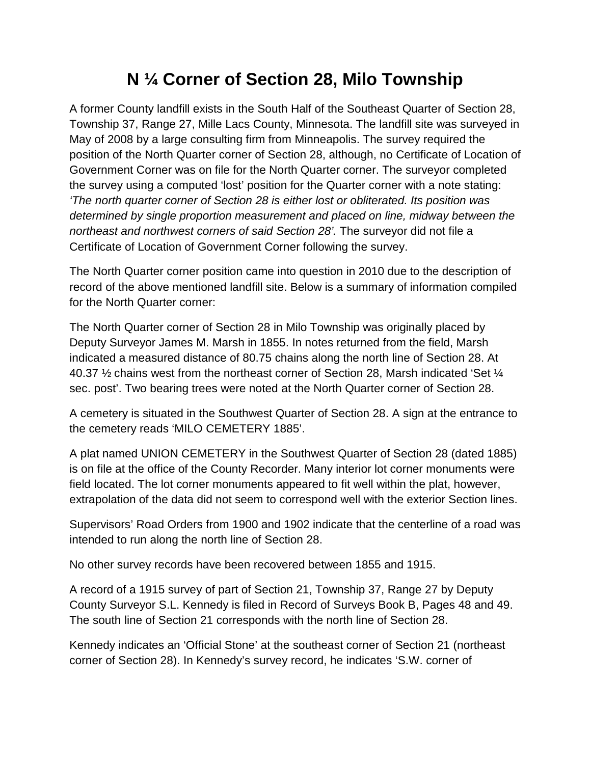## **N ¼ Corner of Section 28, Milo Township**

A former County landfill exists in the South Half of the Southeast Quarter of Section 28, Township 37, Range 27, Mille Lacs County, Minnesota. The landfill site was surveyed in May of 2008 by a large consulting firm from Minneapolis. The survey required the position of the North Quarter corner of Section 28, although, no Certificate of Location of Government Corner was on file for the North Quarter corner. The surveyor completed the survey using a computed 'lost' position for the Quarter corner with a note stating: 'The north quarter corner of Section 28 is either lost or obliterated. Its position was determined by single proportion measurement and placed on line, midway between the northeast and northwest corners of said Section 28'. The surveyor did not file a Certificate of Location of Government Corner following the survey.

The North Quarter corner position came into question in 2010 due to the description of record of the above mentioned landfill site. Below is a summary of information compiled for the North Quarter corner:

The North Quarter corner of Section 28 in Milo Township was originally placed by Deputy Surveyor James M. Marsh in 1855. In notes returned from the field, Marsh indicated a measured distance of 80.75 chains along the north line of Section 28. At 40.37 ½ chains west from the northeast corner of Section 28, Marsh indicated 'Set ¼ sec. post'. Two bearing trees were noted at the North Quarter corner of Section 28.

A cemetery is situated in the Southwest Quarter of Section 28. A sign at the entrance to the cemetery reads 'MILO CEMETERY 1885'.

A plat named UNION CEMETERY in the Southwest Quarter of Section 28 (dated 1885) is on file at the office of the County Recorder. Many interior lot corner monuments were field located. The lot corner monuments appeared to fit well within the plat, however, extrapolation of the data did not seem to correspond well with the exterior Section lines.

Supervisors' Road Orders from 1900 and 1902 indicate that the centerline of a road was intended to run along the north line of Section 28.

No other survey records have been recovered between 1855 and 1915.

A record of a 1915 survey of part of Section 21, Township 37, Range 27 by Deputy County Surveyor S.L. Kennedy is filed in Record of Surveys Book B, Pages 48 and 49. The south line of Section 21 corresponds with the north line of Section 28.

Kennedy indicates an 'Official Stone' at the southeast corner of Section 21 (northeast corner of Section 28). In Kennedy's survey record, he indicates 'S.W. corner of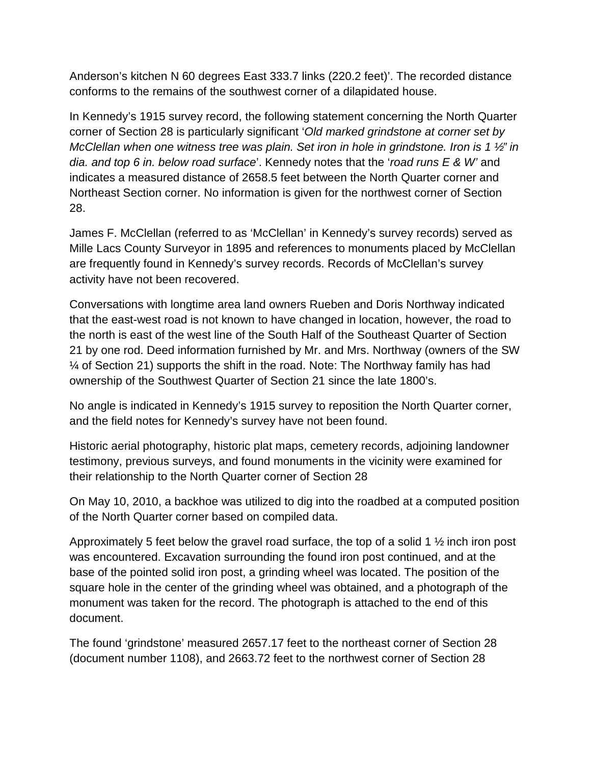Anderson's kitchen N 60 degrees East 333.7 links (220.2 feet)'. The recorded distance conforms to the remains of the southwest corner of a dilapidated house.

In Kennedy's 1915 survey record, the following statement concerning the North Quarter corner of Section 28 is particularly significant 'Old marked grindstone at corner set by McClellan when one witness tree was plain. Set iron in hole in grindstone. Iron is 1 ½" in dia. and top 6 in. below road surface'. Kennedy notes that the 'road runs E & W' and indicates a measured distance of 2658.5 feet between the North Quarter corner and Northeast Section corner. No information is given for the northwest corner of Section 28.

James F. McClellan (referred to as 'McClellan' in Kennedy's survey records) served as Mille Lacs County Surveyor in 1895 and references to monuments placed by McClellan are frequently found in Kennedy's survey records. Records of McClellan's survey activity have not been recovered.

Conversations with longtime area land owners Rueben and Doris Northway indicated that the east-west road is not known to have changed in location, however, the road to the north is east of the west line of the South Half of the Southeast Quarter of Section 21 by one rod. Deed information furnished by Mr. and Mrs. Northway (owners of the SW ¼ of Section 21) supports the shift in the road. Note: The Northway family has had ownership of the Southwest Quarter of Section 21 since the late 1800's.

No angle is indicated in Kennedy's 1915 survey to reposition the North Quarter corner, and the field notes for Kennedy's survey have not been found.

Historic aerial photography, historic plat maps, cemetery records, adjoining landowner testimony, previous surveys, and found monuments in the vicinity were examined for their relationship to the North Quarter corner of Section 28

On May 10, 2010, a backhoe was utilized to dig into the roadbed at a computed position of the North Quarter corner based on compiled data.

Approximately 5 feet below the gravel road surface, the top of a solid 1  $\frac{1}{2}$  inch iron post was encountered. Excavation surrounding the found iron post continued, and at the base of the pointed solid iron post, a grinding wheel was located. The position of the square hole in the center of the grinding wheel was obtained, and a photograph of the monument was taken for the record. The photograph is attached to the end of this document.

The found 'grindstone' measured 2657.17 feet to the northeast corner of Section 28 (document number 1108), and 2663.72 feet to the northwest corner of Section 28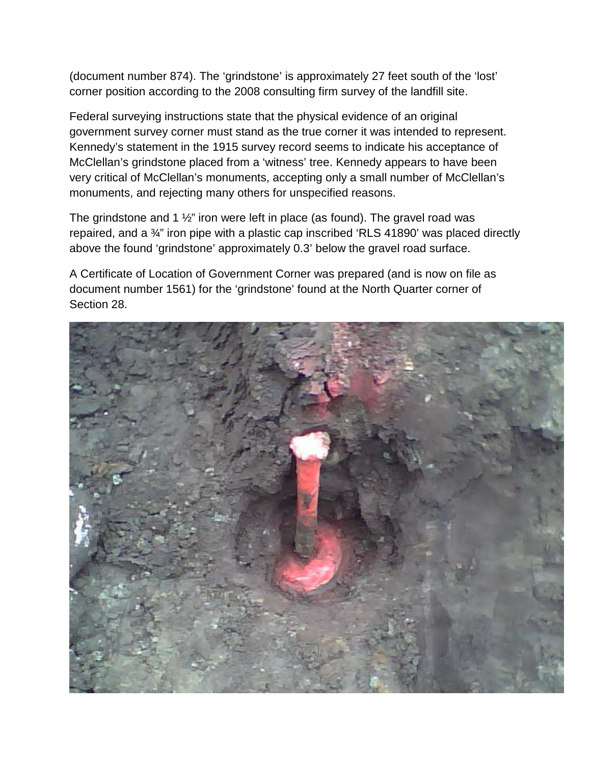(document number 874). The 'grindstone' is approximately 27 feet south of the 'lost' corner position according to the 2008 consulting firm survey of the landfill site.

Federal surveying instructions state that the physical evidence of an original government survey corner must stand as the true corner it was intended to represent. Kennedy's statement in the 1915 survey record seems to indicate his acceptance of McClellan's grindstone placed from a 'witness' tree. Kennedy appears to have been very critical of McClellan's monuments, accepting only a small number of McClellan's monuments, and rejecting many others for unspecified reasons.

The grindstone and 1  $\frac{1}{2}$ " iron were left in place (as found). The gravel road was repaired, and a ¾" iron pipe with a plastic cap inscribed 'RLS 41890' was placed directly above the found 'grindstone' approximately 0.3' below the gravel road surface.

A Certificate of Location of Government Corner was prepared (and is now on file as document number 1561) for the 'grindstone' found at the North Quarter corner of Section 28.

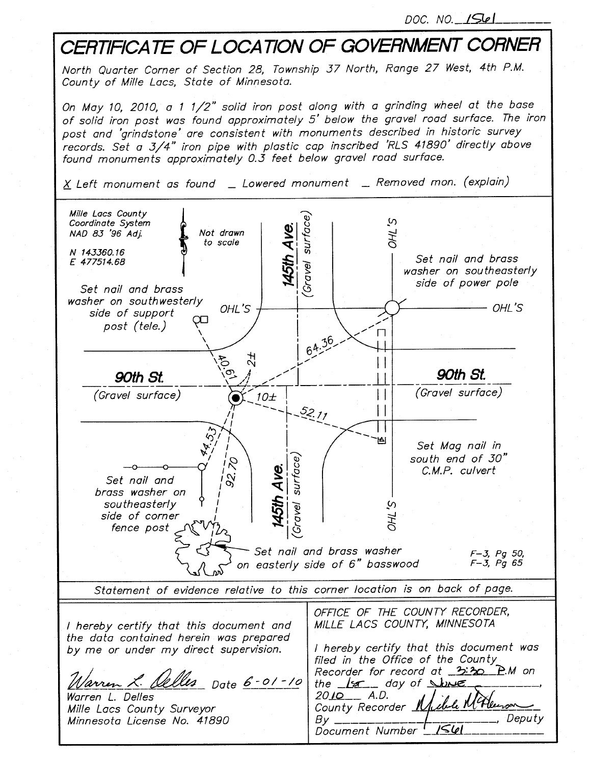DOC. NO. 1561

## CERTIFICATE OF LOCATION OF GOVERNMENT CORNER North Quarter Corner of Section 28, Township 37 North, Range 27 West, 4th P.M. County of Mille Lacs, State of Minnesota. On May 10, 2010, a 1 1/2" solid iron post along with a grinding wheel at the base of solid iron post was found approximately 5' below the gravel road surface. The iron post and 'grindstone' are consistent with monuments described in historic survey records. Set a 3/4" iron pipe with plastic cap inscribed 'RLS 41890' directly above found monuments approximately 0.3 feet below gravel road surface.  $X$  Left monument as found  $\quad$  Lowered monument  $\quad$  Removed mon. (explain) Mille Lacs County Gravel surface) Ω, Coordinate System **145th Ave. THO** NAD 83 '96 Adj. Not drawn to scale N 143360.16 Set nail and brass E 477514.68 washer on southeasterly side of power pole Set nail and brass washer on southwesterly OHL'S - OHL'S side of support  $\overline{CD}$ post (tele.)  $\Box$  $64.36$  $H_2$  $\zeta$  $\vert \ \vert$ 90th St. 90th St.  $\vert \ \vert$ (Gravel surface) (Gravel surface)  $\vert \ \vert$  $10<sub>+</sub>$ 52.11 ۱AI. Set Mag nail in south end of 30" Gravel surface)  $\beta$ 45th Ave. C.M.P. culvert  $\alpha$ Set nail and brass washer on S, THC southeasterly side of corner fence post Set nail and brass washer  $F - 3$ , Pg 50,  $F - 3$ ,  $Pg$  65 on easterly side of 6" basswood Statement of evidence relative to this corner location is on back of page. OFFICE OF THE COUNTY RECORDER, MILLE LACS COUNTY, MINNESOTA I hereby certify that this document and the data contained herein was prepared I hereby certify that this document was by me or under my direct supervision. filed in the Office of the County Recorder for record at 3:30 P.M on Warren L. <u>Delles</u> Date 6-01-10 the 18 day of Show  $2010 - A.D.$ Warren L. Delles M. Alexson County Recorder 1 Mille Lacs County Surveyor , Deputy Minnesota License No. 41890  $By 1561$ Document Number !